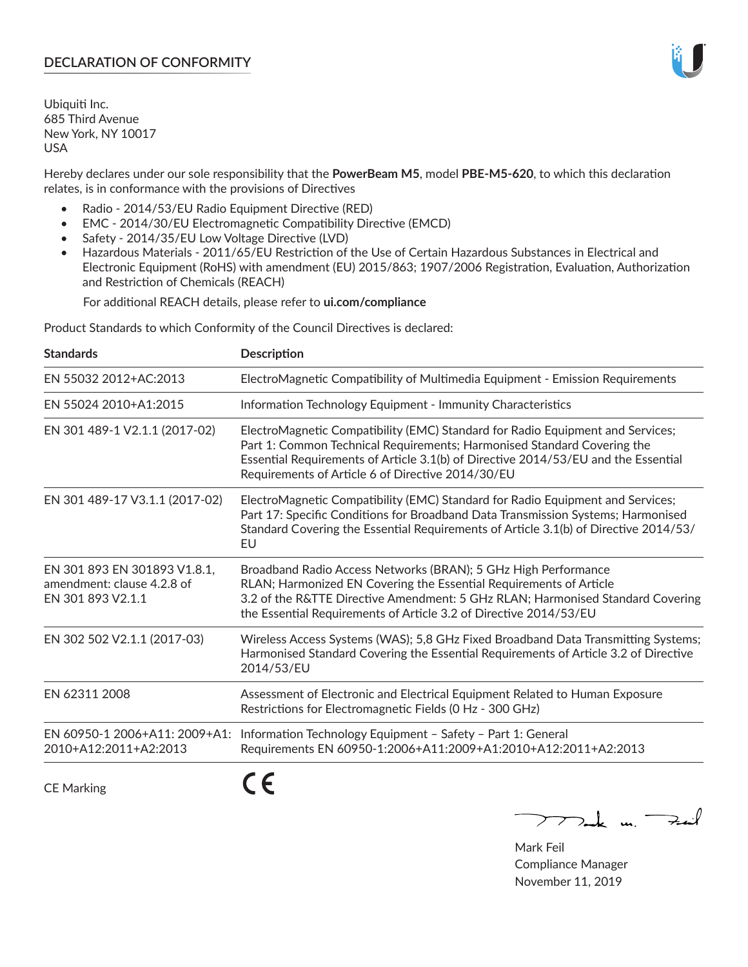# **DECLARATION OF CONFORMITY**

Ubiquiti Inc. 685 Third Avenue New York, NY 10017 USA

Hereby declares under our sole responsibility that the **PowerBeam M5**, model **PBE-M5-620**, to which this declaration relates, is in conformance with the provisions of Directives

- Radio 2014/53/EU Radio Equipment Directive (RED)
- EMC 2014/30/EU Electromagnetic Compatibility Directive (EMCD)
- Safety 2014/35/EU Low Voltage Directive (LVD)
- Hazardous Materials 2011/65/EU Restriction of the Use of Certain Hazardous Substances in Electrical and Electronic Equipment (RoHS) with amendment (EU) 2015/863; 1907/2006 Registration, Evaluation, Authorization and Restriction of Chemicals (REACH)

For additional REACH details, please refer to **ui.com/compliance**

Product Standards to which Conformity of the Council Directives is declared:

| <b>Standards</b>                                                                | <b>Description</b>                                                                                                                                                                                                                                                                                   |
|---------------------------------------------------------------------------------|------------------------------------------------------------------------------------------------------------------------------------------------------------------------------------------------------------------------------------------------------------------------------------------------------|
| EN 55032 2012+AC:2013                                                           | ElectroMagnetic Compatibility of Multimedia Equipment - Emission Requirements                                                                                                                                                                                                                        |
| EN 55024 2010+A1:2015                                                           | Information Technology Equipment - Immunity Characteristics                                                                                                                                                                                                                                          |
| EN 301 489-1 V2.1.1 (2017-02)                                                   | ElectroMagnetic Compatibility (EMC) Standard for Radio Equipment and Services;<br>Part 1: Common Technical Requirements; Harmonised Standard Covering the<br>Essential Requirements of Article 3.1(b) of Directive 2014/53/EU and the Essential<br>Requirements of Article 6 of Directive 2014/30/EU |
| EN 301 489-17 V3.1.1 (2017-02)                                                  | ElectroMagnetic Compatibility (EMC) Standard for Radio Equipment and Services;<br>Part 17: Specific Conditions for Broadband Data Transmission Systems; Harmonised<br>Standard Covering the Essential Requirements of Article 3.1(b) of Directive 2014/53/<br>EU                                     |
| EN 301 893 EN 301893 V1.8.1,<br>amendment: clause 4.2.8 of<br>EN 301 893 V2.1.1 | Broadband Radio Access Networks (BRAN); 5 GHz High Performance<br>RLAN; Harmonized EN Covering the Essential Requirements of Article<br>3.2 of the R&TTE Directive Amendment: 5 GHz RLAN; Harmonised Standard Covering<br>the Essential Requirements of Article 3.2 of Directive 2014/53/EU          |
| EN 302 502 V2.1.1 (2017-03)                                                     | Wireless Access Systems (WAS); 5,8 GHz Fixed Broadband Data Transmitting Systems;<br>Harmonised Standard Covering the Essential Requirements of Article 3.2 of Directive<br>2014/53/EU                                                                                                               |
| EN 62311 2008                                                                   | Assessment of Electronic and Electrical Equipment Related to Human Exposure<br>Restrictions for Electromagnetic Fields (0 Hz - 300 GHz)                                                                                                                                                              |
| EN 60950-1 2006+A11: 2009+A1:<br>2010+A12:2011+A2:2013                          | Information Technology Equipment - Safety - Part 1: General<br>Requirements EN 60950-1:2006+A11:2009+A1:2010+A12:2011+A2:2013                                                                                                                                                                        |
| <b>CE Marking</b>                                                               |                                                                                                                                                                                                                                                                                                      |

 $772$ ak m. Fail

Mark Feil Compliance Manager November 11, 2019

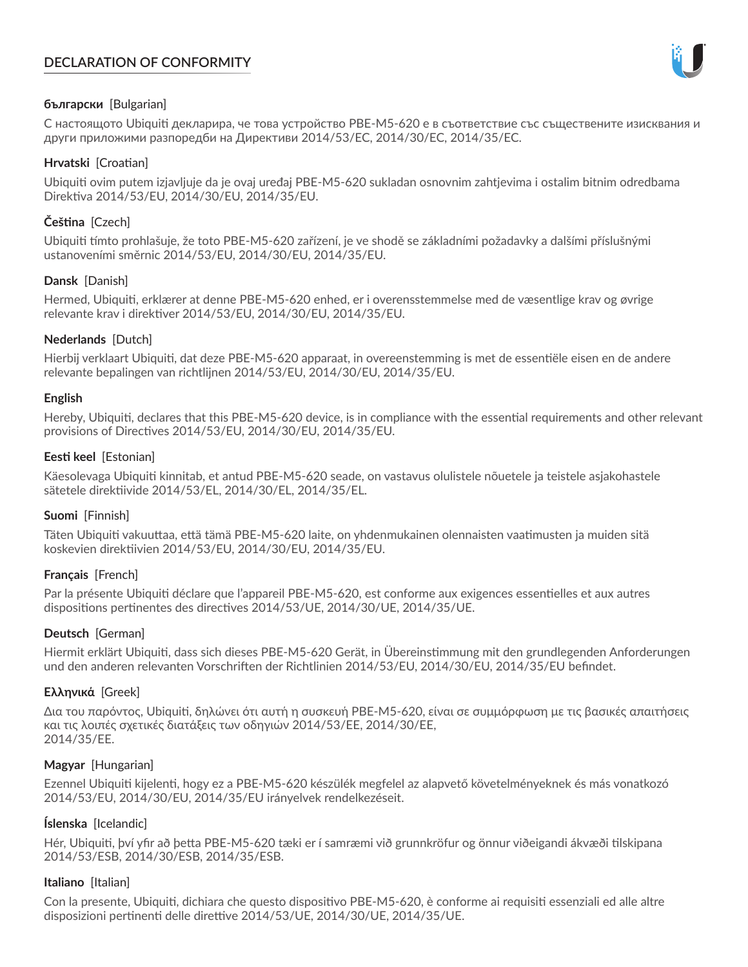# **DECLARATION OF CONFORMITY**



# **български** [Bulgarian]

С настоящото Ubiquiti декларира, че това устройство PBE-M5-620 е в съответствие със съществените изисквания и други приложими разпоредби на Директиви 2014/53/EC, 2014/30/ЕС, 2014/35/ЕС.

## **Hrvatski** [Croatian]

Ubiquiti ovim putem izjavljuje da je ovaj uređaj PBE-M5-620 sukladan osnovnim zahtjevima i ostalim bitnim odredbama Direktiva 2014/53/EU, 2014/30/EU, 2014/35/EU.

# **Čeština** [Czech]

Ubiquiti tímto prohlašuje, že toto PBE-M5-620 zařízení, je ve shodě se základními požadavky a dalšími příslušnými ustanoveními směrnic 2014/53/EU, 2014/30/EU, 2014/35/EU.

# **Dansk** [Danish]

Hermed, Ubiquiti, erklærer at denne PBE-M5-620 enhed, er i overensstemmelse med de væsentlige krav og øvrige relevante krav i direktiver 2014/53/EU, 2014/30/EU, 2014/35/EU.

# **Nederlands** [Dutch]

Hierbij verklaart Ubiquiti, dat deze PBE-M5-620 apparaat, in overeenstemming is met de essentiële eisen en de andere relevante bepalingen van richtlijnen 2014/53/EU, 2014/30/EU, 2014/35/EU.

## **English**

Hereby, Ubiquiti, declares that this PBE-M5-620 device, is in compliance with the essential requirements and other relevant provisions of Directives 2014/53/EU, 2014/30/EU, 2014/35/EU.

## **Eesti keel** [Estonian]

Käesolevaga Ubiquiti kinnitab, et antud PBE-M5-620 seade, on vastavus olulistele nõuetele ja teistele asjakohastele sätetele direktiivide 2014/53/EL, 2014/30/EL, 2014/35/EL.

## **Suomi** [Finnish]

Täten Ubiquiti vakuuttaa, että tämä PBE-M5-620 laite, on yhdenmukainen olennaisten vaatimusten ja muiden sitä koskevien direktiivien 2014/53/EU, 2014/30/EU, 2014/35/EU.

## **Français** [French]

Par la présente Ubiquiti déclare que l'appareil PBE-M5-620, est conforme aux exigences essentielles et aux autres dispositions pertinentes des directives 2014/53/UE, 2014/30/UE, 2014/35/UE.

## **Deutsch** [German]

Hiermit erklärt Ubiquiti, dass sich dieses PBE-M5-620 Gerät, in Übereinstimmung mit den grundlegenden Anforderungen und den anderen relevanten Vorschriften der Richtlinien 2014/53/EU, 2014/30/EU, 2014/35/EU befindet.

## **Ελληνικά** [Greek]

Δια του παρόντος, Ubiquiti, δηλώνει ότι αυτή η συσκευή PBE-M5-620, είναι σε συμμόρφωση με τις βασικές απαιτήσεις και τις λοιπές σχετικές διατάξεις των οδηγιών 2014/53/EE, 2014/30/EE, 2014/35/EE.

## **Magyar** [Hungarian]

Ezennel Ubiquiti kijelenti, hogy ez a PBE-M5-620 készülék megfelel az alapvető követelményeknek és más vonatkozó 2014/53/EU, 2014/30/EU, 2014/35/EU irányelvek rendelkezéseit.

## **Íslenska** [Icelandic]

Hér, Ubiquiti, því yfir að þetta PBE-M5-620 tæki er í samræmi við grunnkröfur og önnur viðeigandi ákvæði tilskipana 2014/53/ESB, 2014/30/ESB, 2014/35/ESB.

## **Italiano** [Italian]

Con la presente, Ubiquiti, dichiara che questo dispositivo PBE-M5-620, è conforme ai requisiti essenziali ed alle altre disposizioni pertinenti delle direttive 2014/53/UE, 2014/30/UE, 2014/35/UE.